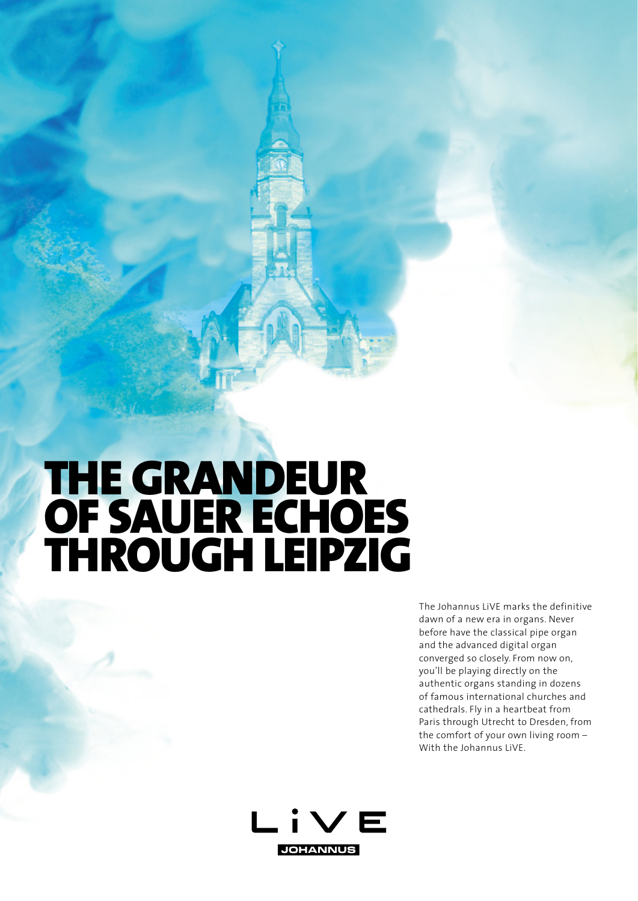## **THE GRANDEUR** OF SAUER ECHOES THROUGH LEIPZIG

The Johannus LiVE marks the definitive dawn of a new era in organs. Never before have the classical pipe organ and the advanced digital organ converged so closely. From now on, you'll be playing directly on the authentic organs standing in dozens of famous international churches and cathedrals. Fly in a heartbeat from Paris through Utrecht to Dresden, from the comfort of your own living room – With the Johannus LiVE.